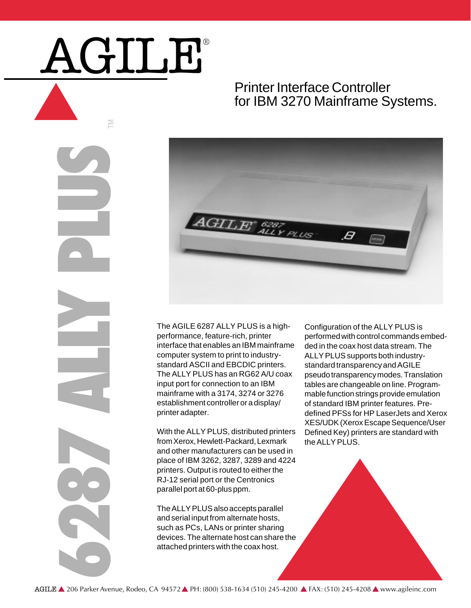## AGILE®

## Printer Interface Controller for IBM 3270 Mainframe Systems.





The AGILE 6287 ALLY PLUS is a highperformance, feature-rich, printer interface that enables an IBM mainframe computer system to print to industrystandard ASCII and EBCDIC printers. The ALLY PLUS has an RG62 A/U coax input port for connection to an IBM mainframe with a 3174, 3274 or 3276 establishment controller or a display/ printer adapter.

With the ALLY PLUS, distributed printers from Xerox, Hewlett-Packard, Lexmark and other manufacturers can be used in place of IBM 3262, 3287, 3289 and 4224 printers. Output is routed to either the RJ-12 serial port or the Centronics parallel port at 60-plus ppm.

The ALLY PLUS also accepts parallel and serial input from alternate hosts, such as PCs, LANs or printer sharing devices. The alternate host can share the attached printers with the coax host.

Configuration of the ALLY PLUS is performed with control commands embedded in the coax host data stream. The ALLY PLUS supports both industrystandard transparency and AGILE pseudo transparency modes. Translation tables are changeable on line. Programmable function strings provide emulation of standard IBM printer features. Predefined PFSs for HP LaserJets and Xerox XES/UDK (Xerox Escape Sequence/User Defined Key) printers are standard with the ALLY PLUS.